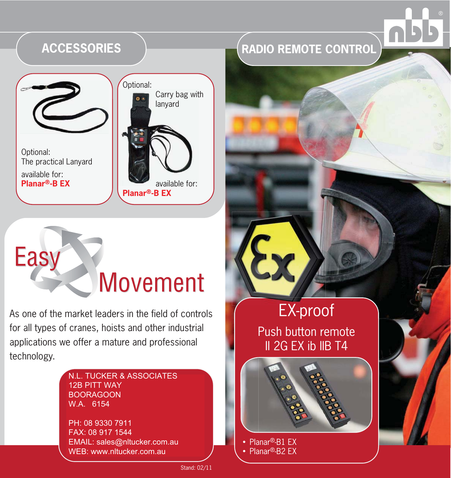

# Easy Movement

As one of the market leaders in the field of controls for all types of cranes, hoists and other industrial applications we offer a mature and professional technology.

#### N.L. TUCKER & ASSOCIATES<br>ASD DITT WAY BOORAGOON **STR.** W.A. 6154 Ö.BRONN-DÜRR 12B PITT WAY

PH: 08 9330 7911 FAX: +49(0)7237 / 999 - 199 FAX: 08 917 1544 EMAIL: sales@nltucker.com.au WEB: www.nltucker.com.au

## **RADIO REMOTE CONTROL**

# EX-proof EX

Push button remote II 2G EX ib IIB T4



-Planar®-B1 EX -Planar®-B2 EX



Stand: 02/11